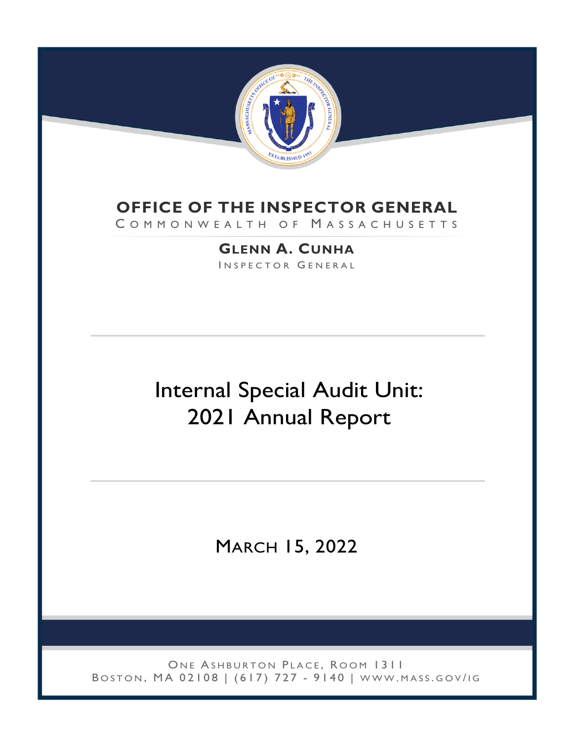

## **OFFICE OF THE INSPECTOR GENERAL**

COMMONWEALTH OF MASSACHUSETTS

**GLENN A. CUNHA** INSPECTOR GENERAL

# Internal Special Audit Unit: 2021 Annual Report

MARCH 15, 2022

ONE ASHBURTON PLACE, ROOM 1311 BOSTON, MA 02108 | (617) 727 - 9140 | WWW.MASS.GOV/IG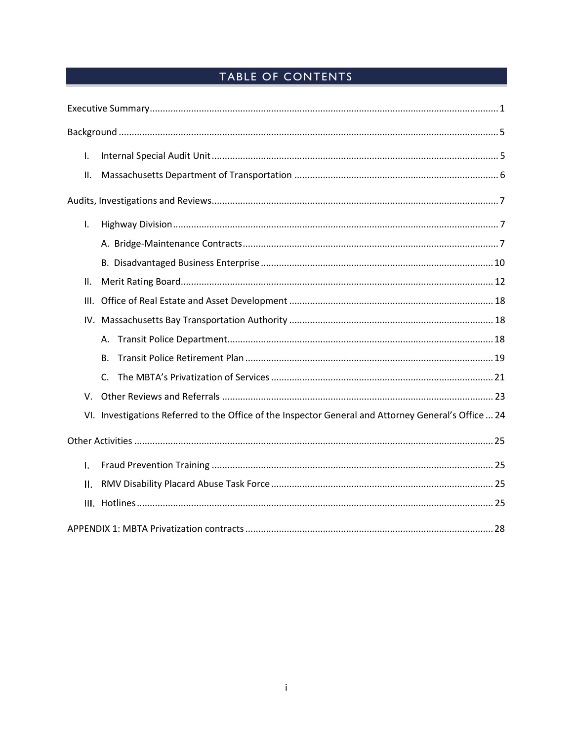## TABLE OF CONTENTS

| $\mathsf{L}$ |                                                                                                      |
|--------------|------------------------------------------------------------------------------------------------------|
| ΙΙ.          |                                                                                                      |
|              |                                                                                                      |
| I.           |                                                                                                      |
|              |                                                                                                      |
|              |                                                                                                      |
| II.          |                                                                                                      |
| III.         |                                                                                                      |
|              |                                                                                                      |
|              | А.                                                                                                   |
|              | <b>B.</b>                                                                                            |
|              | $\mathsf{C}$ .                                                                                       |
| V.           |                                                                                                      |
|              | VI. Investigations Referred to the Office of the Inspector General and Attorney General's Office  24 |
|              |                                                                                                      |
| I.           |                                                                                                      |
| ΙΙ.          |                                                                                                      |
|              |                                                                                                      |
|              |                                                                                                      |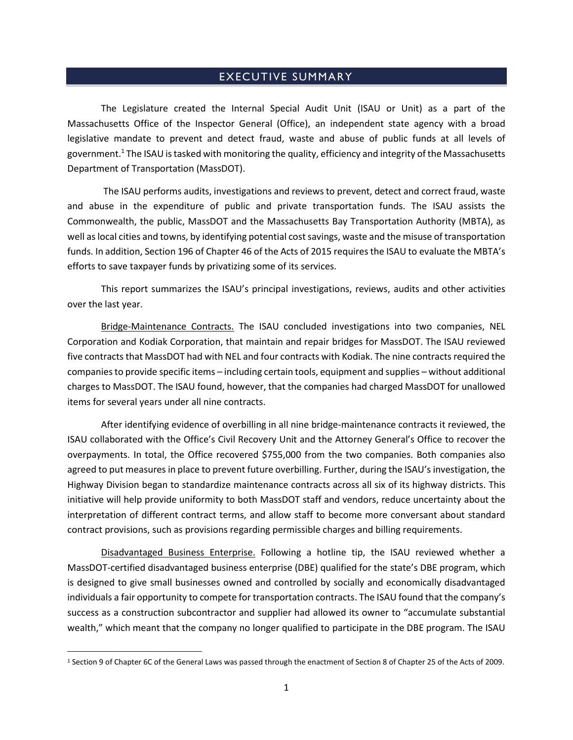#### EXECUTIVE SUMMARY

<span id="page-2-0"></span>The Legislature created the Internal Special Audit Unit (ISAU or Unit) as a part of the Massachusetts Office of the Inspector General (Office), an independent state agency with a broad legislative mandate to prevent and detect fraud, waste and abuse of public funds at all levels of government.<sup>1</sup> The ISAU is tasked with monitoring the quality, efficiency and integrity of the Massachusetts Department of Transportation (MassDOT).

The ISAU performs audits, investigations and reviews to prevent, detect and correct fraud, waste and abuse in the expenditure of public and private transportation funds. The ISAU assists the Commonwealth, the public, MassDOT and the Massachusetts Bay Transportation Authority (MBTA), as well as local cities and towns, by identifying potential cost savings, waste and the misuse of transportation funds. In addition, Section 196 of Chapter 46 of the Acts of 2015 requires the ISAU to evaluate the MBTA's efforts to save taxpayer funds by privatizing some of its services.

This report summarizes the ISAU's principal investigations, reviews, audits and other activities over the last year.

Bridge-Maintenance Contracts. The ISAU concluded investigations into two companies, NEL Corporation and Kodiak Corporation, that maintain and repair bridges for MassDOT. The ISAU reviewed five contracts that MassDOT had with NEL and four contracts with Kodiak. The nine contracts required the companies to provide specific items – including certain tools, equipment and supplies – without additional charges to MassDOT. The ISAU found, however, that the companies had charged MassDOT for unallowed items for several years under all nine contracts.

After identifying evidence of overbilling in all nine bridge-maintenance contracts it reviewed, the ISAU collaborated with the Office's Civil Recovery Unit and the Attorney General's Office to recover the overpayments. In total, the Office recovered \$755,000 from the two companies. Both companies also agreed to put measures in place to prevent future overbilling. Further, during the ISAU's investigation, the Highway Division began to standardize maintenance contracts across all six of its highway districts. This initiative will help provide uniformity to both MassDOT staff and vendors, reduce uncertainty about the interpretation of different contract terms, and allow staff to become more conversant about standard contract provisions, such as provisions regarding permissible charges and billing requirements.

Disadvantaged Business Enterprise. Following a hotline tip, the ISAU reviewed whether a MassDOT-certified disadvantaged business enterprise (DBE) qualified for the state's DBE program, which is designed to give small businesses owned and controlled by socially and economically disadvantaged individuals a fair opportunity to compete for transportation contracts. The ISAU found that the company's success as a construction subcontractor and supplier had allowed its owner to "accumulate substantial wealth," which meant that the company no longer qualified to participate in the DBE program. The ISAU

<sup>1</sup> Section 9 of Chapter 6C of the General Laws was passed through the enactment of Section 8 of Chapter 25 of the Acts of 2009.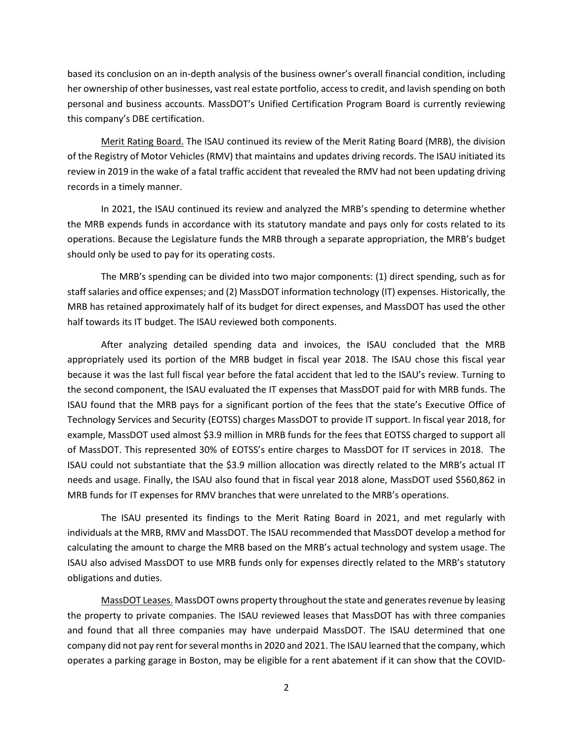based its conclusion on an in-depth analysis of the business owner's overall financial condition, including her ownership of other businesses, vast real estate portfolio, access to credit, and lavish spending on both personal and business accounts. MassDOT's Unified Certification Program Board is currently reviewing this company's DBE certification.

Merit Rating Board. The ISAU continued its review of the Merit Rating Board (MRB), the division of the Registry of Motor Vehicles (RMV) that maintains and updates driving records. The ISAU initiated its review in 2019 in the wake of a fatal traffic accident that revealed the RMV had not been updating driving records in a timely manner.

In 2021, the ISAU continued its review and analyzed the MRB's spending to determine whether the MRB expends funds in accordance with its statutory mandate and pays only for costs related to its operations. Because the Legislature funds the MRB through a separate appropriation, the MRB's budget should only be used to pay for its operating costs.

The MRB's spending can be divided into two major components: (1) direct spending, such as for staff salaries and office expenses; and (2) MassDOT information technology (IT) expenses. Historically, the MRB has retained approximately half of its budget for direct expenses, and MassDOT has used the other half towards its IT budget. The ISAU reviewed both components.

After analyzing detailed spending data and invoices, the ISAU concluded that the MRB appropriately used its portion of the MRB budget in fiscal year 2018. The ISAU chose this fiscal year because it was the last full fiscal year before the fatal accident that led to the ISAU's review. Turning to the second component, the ISAU evaluated the IT expenses that MassDOT paid for with MRB funds. The ISAU found that the MRB pays for a significant portion of the fees that the state's Executive Office of Technology Services and Security (EOTSS) charges MassDOT to provide IT support. In fiscal year 2018, for example, MassDOT used almost \$3.9 million in MRB funds for the fees that EOTSS charged to support all of MassDOT. This represented 30% of EOTSS's entire charges to MassDOT for IT services in 2018. The ISAU could not substantiate that the \$3.9 million allocation was directly related to the MRB's actual IT needs and usage. Finally, the ISAU also found that in fiscal year 2018 alone, MassDOT used \$560,862 in MRB funds for IT expenses for RMV branches that were unrelated to the MRB's operations.

The ISAU presented its findings to the Merit Rating Board in 2021, and met regularly with individuals at the MRB, RMV and MassDOT. The ISAU recommended that MassDOT develop a method for calculating the amount to charge the MRB based on the MRB's actual technology and system usage. The ISAU also advised MassDOT to use MRB funds only for expenses directly related to the MRB's statutory obligations and duties.

MassDOT Leases. MassDOT owns property throughout the state and generates revenue by leasing the property to private companies. The ISAU reviewed leases that MassDOT has with three companies and found that all three companies may have underpaid MassDOT. The ISAU determined that one company did not pay rent for several monthsin 2020 and 2021. The ISAU learned that the company, which operates a parking garage in Boston, may be eligible for a rent abatement if it can show that the COVID-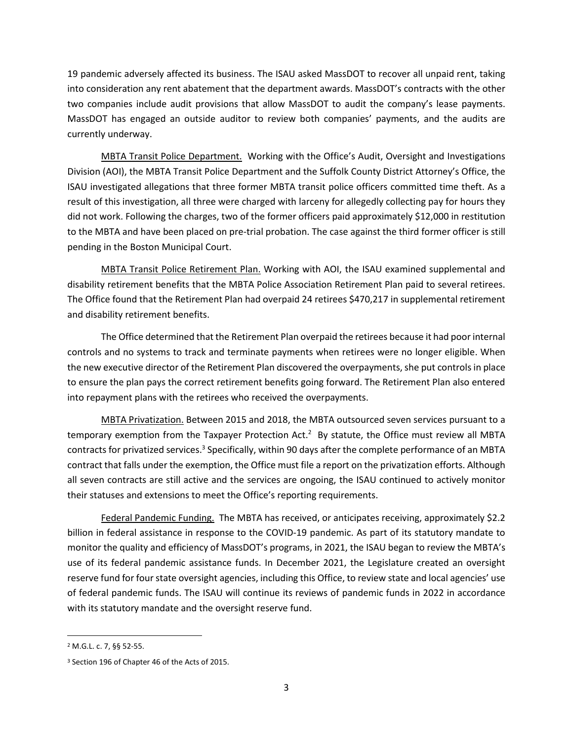19 pandemic adversely affected its business. The ISAU asked MassDOT to recover all unpaid rent, taking into consideration any rent abatement that the department awards. MassDOT's contracts with the other two companies include audit provisions that allow MassDOT to audit the company's lease payments. MassDOT has engaged an outside auditor to review both companies' payments, and the audits are currently underway.

MBTA Transit Police Department. Working with the Office's Audit, Oversight and Investigations Division (AOI), the MBTA Transit Police Department and the Suffolk County District Attorney's Office, the ISAU investigated allegations that three former MBTA transit police officers committed time theft. As a result of this investigation, all three were charged with larceny for allegedly collecting pay for hours they did not work. Following the charges, two of the former officers paid approximately \$12,000 in restitution to the MBTA and have been placed on pre-trial probation. The case against the third former officer is still pending in the Boston Municipal Court.

MBTA Transit Police Retirement Plan. Working with AOI, the ISAU examined supplemental and disability retirement benefits that the MBTA Police Association Retirement Plan paid to several retirees. The Office found that the Retirement Plan had overpaid 24 retirees \$470,217 in supplemental retirement and disability retirement benefits.

The Office determined that the Retirement Plan overpaid the retirees because it had poor internal controls and no systems to track and terminate payments when retirees were no longer eligible. When the new executive director of the Retirement Plan discovered the overpayments, she put controls in place to ensure the plan pays the correct retirement benefits going forward. The Retirement Plan also entered into repayment plans with the retirees who received the overpayments.

MBTA Privatization. Between 2015 and 2018, the MBTA outsourced seven services pursuant to a temporary exemption from the Taxpayer Protection Act.<sup>2</sup> By statute, the Office must review all MBTA contracts for privatized services.<sup>3</sup> Specifically, within 90 days after the complete performance of an MBTA contract that falls under the exemption, the Office must file a report on the privatization efforts. Although all seven contracts are still active and the services are ongoing, the ISAU continued to actively monitor their statuses and extensions to meet the Office's reporting requirements.

Federal Pandemic Funding. The MBTA has received, or anticipates receiving, approximately \$2.2 billion in federal assistance in response to the COVID-19 pandemic. As part of its statutory mandate to monitor the quality and efficiency of MassDOT's programs, in 2021, the ISAU began to review the MBTA's use of its federal pandemic assistance funds. In December 2021, the Legislature created an oversight reserve fund for four state oversight agencies, including this Office, to review state and local agencies' use of federal pandemic funds. The ISAU will continue its reviews of pandemic funds in 2022 in accordance with its statutory mandate and the oversight reserve fund.

<sup>2</sup> M.G.L. c. 7, §§ 52-55.

<sup>3</sup> Section 196 of Chapter 46 of the Acts of 2015.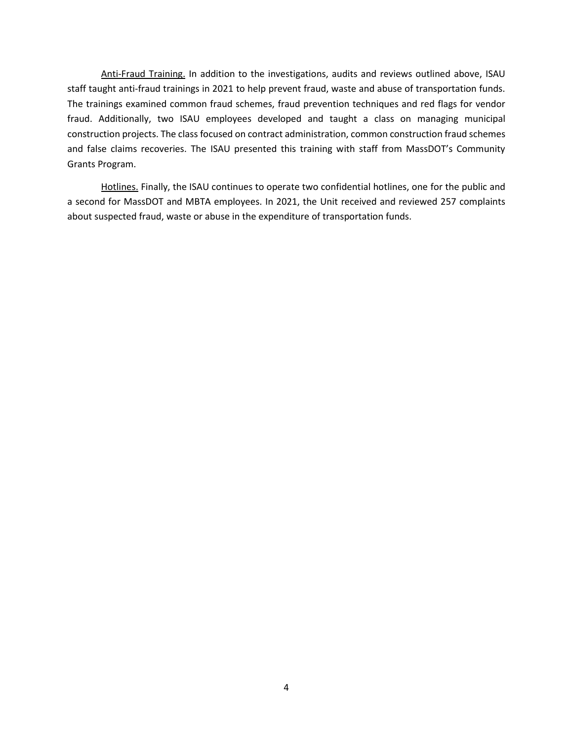Anti-Fraud Training. In addition to the investigations, audits and reviews outlined above, ISAU staff taught anti-fraud trainings in 2021 to help prevent fraud, waste and abuse of transportation funds. The trainings examined common fraud schemes, fraud prevention techniques and red flags for vendor fraud. Additionally, two ISAU employees developed and taught a class on managing municipal construction projects. The class focused on contract administration, common construction fraud schemes and false claims recoveries. The ISAU presented this training with staff from MassDOT's Community Grants Program.

Hotlines. Finally, the ISAU continues to operate two confidential hotlines, one for the public and a second for MassDOT and MBTA employees. In 2021, the Unit received and reviewed 257 complaints about suspected fraud, waste or abuse in the expenditure of transportation funds.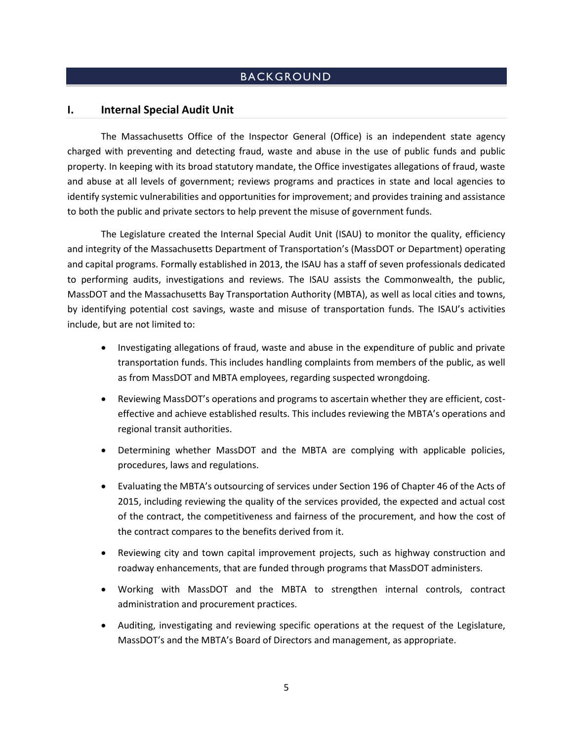### BACKGROUND

#### <span id="page-6-1"></span><span id="page-6-0"></span>**I. Internal Special Audit Unit**

The Massachusetts Office of the Inspector General (Office) is an independent state agency charged with preventing and detecting fraud, waste and abuse in the use of public funds and public property. In keeping with its broad statutory mandate, the Office investigates allegations of fraud, waste and abuse at all levels of government; reviews programs and practices in state and local agencies to identify systemic vulnerabilities and opportunities for improvement; and provides training and assistance to both the public and private sectors to help prevent the misuse of government funds.

The Legislature created the Internal Special Audit Unit (ISAU) to monitor the quality, efficiency and integrity of the Massachusetts Department of Transportation's (MassDOT or Department) operating and capital programs. Formally established in 2013, the ISAU has a staff of seven professionals dedicated to performing audits, investigations and reviews. The ISAU assists the Commonwealth, the public, MassDOT and the Massachusetts Bay Transportation Authority (MBTA), as well as local cities and towns, by identifying potential cost savings, waste and misuse of transportation funds. The ISAU's activities include, but are not limited to:

- Investigating allegations of fraud, waste and abuse in the expenditure of public and private transportation funds. This includes handling complaints from members of the public, as well as from MassDOT and MBTA employees, regarding suspected wrongdoing.
- Reviewing MassDOT's operations and programs to ascertain whether they are efficient, costeffective and achieve established results. This includes reviewing the MBTA's operations and regional transit authorities.
- Determining whether MassDOT and the MBTA are complying with applicable policies, procedures, laws and regulations.
- Evaluating the MBTA's outsourcing of services under Section 196 of Chapter 46 of the Acts of 2015, including reviewing the quality of the services provided, the expected and actual cost of the contract, the competitiveness and fairness of the procurement, and how the cost of the contract compares to the benefits derived from it.
- Reviewing city and town capital improvement projects, such as highway construction and roadway enhancements, that are funded through programs that MassDOT administers.
- Working with MassDOT and the MBTA to strengthen internal controls, contract administration and procurement practices.
- Auditing, investigating and reviewing specific operations at the request of the Legislature, MassDOT's and the MBTA's Board of Directors and management, as appropriate.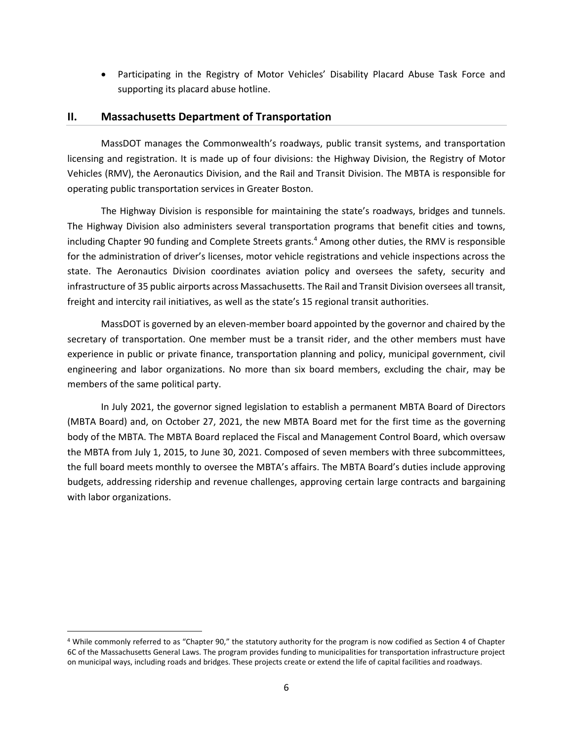• Participating in the Registry of Motor Vehicles' Disability Placard Abuse Task Force and supporting its placard abuse hotline.

#### <span id="page-7-0"></span>**II. Massachusetts Department of Transportation**

MassDOT manages the Commonwealth's roadways, public transit systems, and transportation licensing and registration. It is made up of four divisions: the Highway Division, the Registry of Motor Vehicles (RMV), the Aeronautics Division, and the Rail and Transit Division. The MBTA is responsible for operating public transportation services in Greater Boston.

The Highway Division is responsible for maintaining the state's roadways, bridges and tunnels. The Highway Division also administers several transportation programs that benefit cities and towns, including Chapter 90 funding and Complete Streets grants.<sup>4</sup> Among other duties, the RMV is responsible for the administration of driver's licenses, motor vehicle registrations and vehicle inspections across the state. The Aeronautics Division coordinates aviation policy and oversees the safety, security and infrastructure of 35 public airports across Massachusetts. The Rail and Transit Division oversees all transit, freight and intercity rail initiatives, as well as the state's 15 regional transit authorities.

MassDOT is governed by an eleven-member board appointed by the governor and chaired by the secretary of transportation. One member must be a transit rider, and the other members must have experience in public or private finance, transportation planning and policy, municipal government, civil engineering and labor organizations. No more than six board members, excluding the chair, may be members of the same political party.

In July 2021, the governor signed legislation to establish a permanent MBTA Board of Directors (MBTA Board) and, on October 27, 2021, the new MBTA Board met for the first time as the governing body of the MBTA. The MBTA Board replaced the Fiscal and Management Control Board, which oversaw the MBTA from July 1, 2015, to June 30, 2021. Composed of seven members with three subcommittees, the full board meets monthly to oversee the MBTA's affairs. The MBTA Board's duties include approving budgets, addressing ridership and revenue challenges, approving certain large contracts and bargaining with labor organizations.

<sup>4</sup> While commonly referred to as "Chapter 90," the statutory authority for the program is now codified as Section 4 of Chapter 6C of the Massachusetts General Laws. The program provides funding to municipalities for transportation infrastructure project on municipal ways, including roads and bridges. These projects create or extend the life of capital facilities and roadways.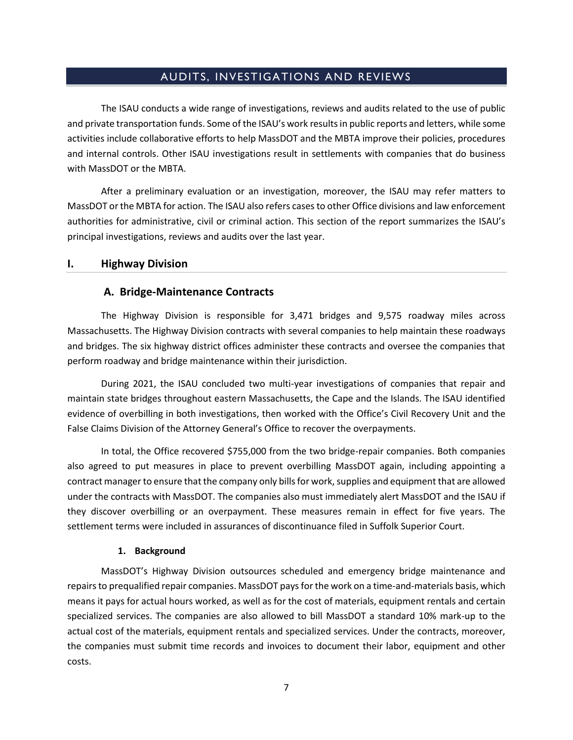#### AUDITS, INVESTIGATIONS AND REVIEWS

<span id="page-8-0"></span>The ISAU conducts a wide range of investigations, reviews and audits related to the use of public and private transportation funds. Some of the ISAU's work results in public reports and letters, while some activities include collaborative efforts to help MassDOT and the MBTA improve their policies, procedures and internal controls. Other ISAU investigations result in settlements with companies that do business with MassDOT or the MBTA.

After a preliminary evaluation or an investigation, moreover, the ISAU may refer matters to MassDOT or the MBTA for action. The ISAU also refers cases to other Office divisions and law enforcement authorities for administrative, civil or criminal action. This section of the report summarizes the ISAU's principal investigations, reviews and audits over the last year.

#### <span id="page-8-1"></span>**I. Highway Division**

#### <span id="page-8-2"></span>**A. Bridge-Maintenance Contracts**

The Highway Division is responsible for 3,471 bridges and 9,575 roadway miles across Massachusetts. The Highway Division contracts with several companies to help maintain these roadways and bridges. The six highway district offices administer these contracts and oversee the companies that perform roadway and bridge maintenance within their jurisdiction.

During 2021, the ISAU concluded two multi-year investigations of companies that repair and maintain state bridges throughout eastern Massachusetts, the Cape and the Islands. The ISAU identified evidence of overbilling in both investigations, then worked with the Office's Civil Recovery Unit and the False Claims Division of the Attorney General's Office to recover the overpayments.

In total, the Office recovered \$755,000 from the two bridge-repair companies. Both companies also agreed to put measures in place to prevent overbilling MassDOT again, including appointing a contract manager to ensure that the company only bills for work, supplies and equipment that are allowed under the contracts with MassDOT. The companies also must immediately alert MassDOT and the ISAU if they discover overbilling or an overpayment. These measures remain in effect for five years. The settlement terms were included in assurances of discontinuance filed in Suffolk Superior Court.

#### **1. Background**

MassDOT's Highway Division outsources scheduled and emergency bridge maintenance and repairs to prequalified repair companies. MassDOT pays for the work on a time-and-materials basis, which means it pays for actual hours worked, as well as for the cost of materials, equipment rentals and certain specialized services. The companies are also allowed to bill MassDOT a standard 10% mark-up to the actual cost of the materials, equipment rentals and specialized services. Under the contracts, moreover, the companies must submit time records and invoices to document their labor, equipment and other costs.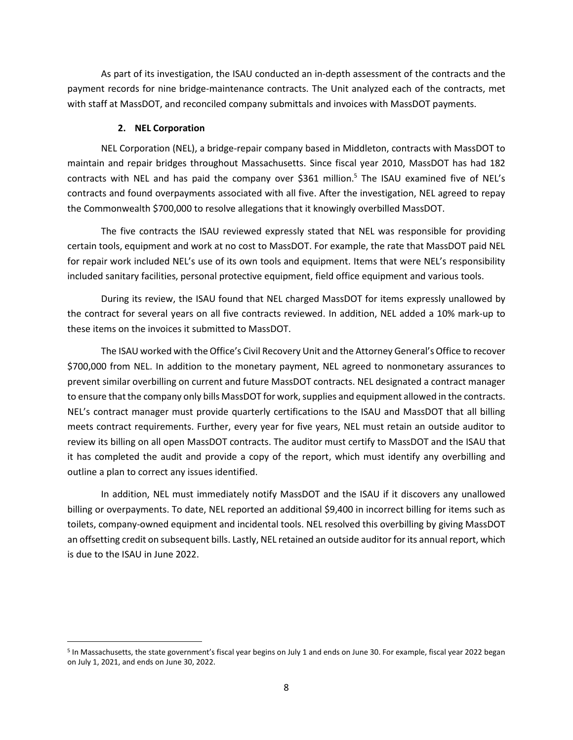As part of its investigation, the ISAU conducted an in-depth assessment of the contracts and the payment records for nine bridge-maintenance contracts. The Unit analyzed each of the contracts, met with staff at MassDOT, and reconciled company submittals and invoices with MassDOT payments.

#### **2. NEL Corporation**

NEL Corporation (NEL), a bridge-repair company based in Middleton, contracts with MassDOT to maintain and repair bridges throughout Massachusetts. Since fiscal year 2010, MassDOT has had 182 contracts with NEL and has paid the company over \$361 million.<sup>5</sup> The ISAU examined five of NEL's contracts and found overpayments associated with all five. After the investigation, NEL agreed to repay the Commonwealth \$700,000 to resolve allegations that it knowingly overbilled MassDOT.

The five contracts the ISAU reviewed expressly stated that NEL was responsible for providing certain tools, equipment and work at no cost to MassDOT. For example, the rate that MassDOT paid NEL for repair work included NEL's use of its own tools and equipment. Items that were NEL's responsibility included sanitary facilities, personal protective equipment, field office equipment and various tools.

During its review, the ISAU found that NEL charged MassDOT for items expressly unallowed by the contract for several years on all five contracts reviewed. In addition, NEL added a 10% mark-up to these items on the invoices it submitted to MassDOT.

The ISAU worked with the Office's Civil Recovery Unit and the Attorney General's Office to recover \$700,000 from NEL. In addition to the monetary payment, NEL agreed to nonmonetary assurances to prevent similar overbilling on current and future MassDOT contracts. NEL designated a contract manager to ensure that the company only bills MassDOT for work, supplies and equipment allowed in the contracts. NEL's contract manager must provide quarterly certifications to the ISAU and MassDOT that all billing meets contract requirements. Further, every year for five years, NEL must retain an outside auditor to review its billing on all open MassDOT contracts. The auditor must certify to MassDOT and the ISAU that it has completed the audit and provide a copy of the report, which must identify any overbilling and outline a plan to correct any issues identified.

In addition, NEL must immediately notify MassDOT and the ISAU if it discovers any unallowed billing or overpayments. To date, NEL reported an additional \$9,400 in incorrect billing for items such as toilets, company-owned equipment and incidental tools. NEL resolved this overbilling by giving MassDOT an offsetting credit on subsequent bills. Lastly, NEL retained an outside auditor for its annual report, which is due to the ISAU in June 2022.

<sup>&</sup>lt;sup>5</sup> In Massachusetts, the state government's fiscal year begins on July 1 and ends on June 30. For example, fiscal year 2022 began on July 1, 2021, and ends on June 30, 2022.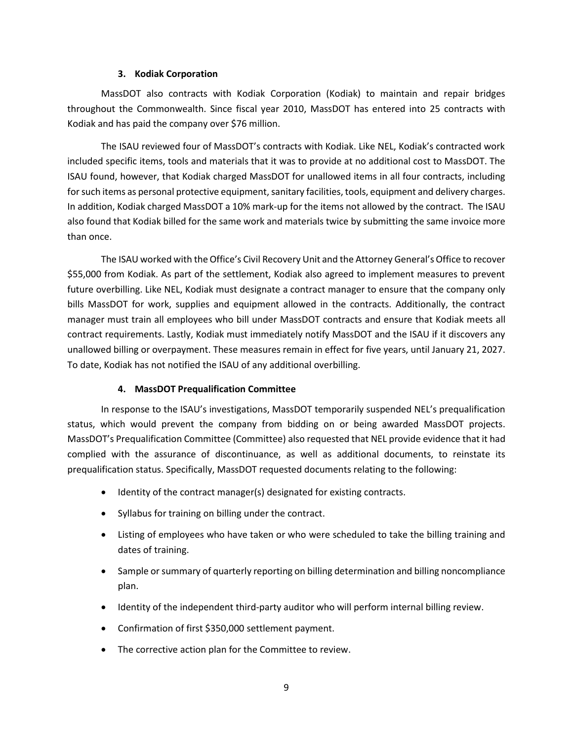#### **3. Kodiak Corporation**

MassDOT also contracts with Kodiak Corporation (Kodiak) to maintain and repair bridges throughout the Commonwealth. Since fiscal year 2010, MassDOT has entered into 25 contracts with Kodiak and has paid the company over \$76 million.

The ISAU reviewed four of MassDOT's contracts with Kodiak. Like NEL, Kodiak's contracted work included specific items, tools and materials that it was to provide at no additional cost to MassDOT. The ISAU found, however, that Kodiak charged MassDOT for unallowed items in all four contracts, including for such items as personal protective equipment, sanitary facilities, tools, equipment and delivery charges. In addition, Kodiak charged MassDOT a 10% mark-up for the items not allowed by the contract. The ISAU also found that Kodiak billed for the same work and materials twice by submitting the same invoice more than once.

The ISAU worked with the Office's Civil Recovery Unit and the Attorney General's Office to recover \$55,000 from Kodiak. As part of the settlement, Kodiak also agreed to implement measures to prevent future overbilling. Like NEL, Kodiak must designate a contract manager to ensure that the company only bills MassDOT for work, supplies and equipment allowed in the contracts. Additionally, the contract manager must train all employees who bill under MassDOT contracts and ensure that Kodiak meets all contract requirements. Lastly, Kodiak must immediately notify MassDOT and the ISAU if it discovers any unallowed billing or overpayment. These measures remain in effect for five years, until January 21, 2027. To date, Kodiak has not notified the ISAU of any additional overbilling.

#### **4. MassDOT Prequalification Committee**

In response to the ISAU's investigations, MassDOT temporarily suspended NEL's prequalification status, which would prevent the company from bidding on or being awarded MassDOT projects. MassDOT's Prequalification Committee (Committee) also requested that NEL provide evidence that it had complied with the assurance of discontinuance, as well as additional documents, to reinstate its prequalification status. Specifically, MassDOT requested documents relating to the following:

- Identity of the contract manager(s) designated for existing contracts.
- Syllabus for training on billing under the contract.
- Listing of employees who have taken or who were scheduled to take the billing training and dates of training.
- Sample or summary of quarterly reporting on billing determination and billing noncompliance plan.
- Identity of the independent third-party auditor who will perform internal billing review.
- Confirmation of first \$350,000 settlement payment.
- The corrective action plan for the Committee to review.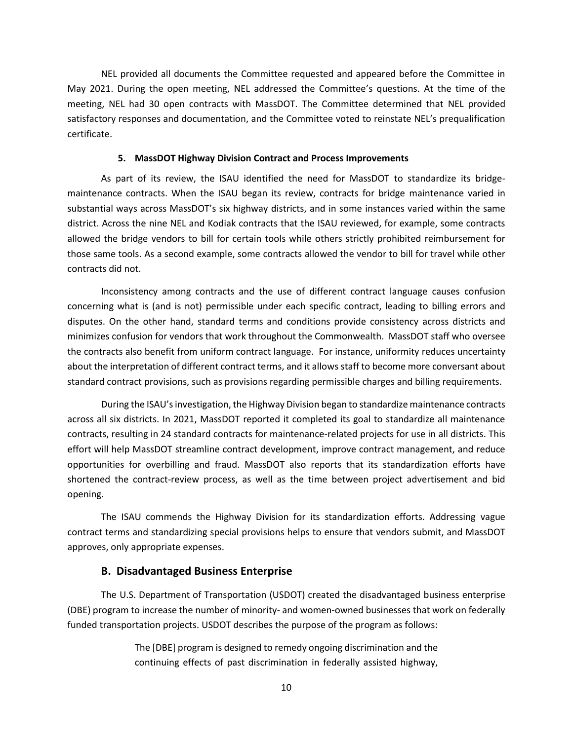NEL provided all documents the Committee requested and appeared before the Committee in May 2021. During the open meeting, NEL addressed the Committee's questions. At the time of the meeting, NEL had 30 open contracts with MassDOT. The Committee determined that NEL provided satisfactory responses and documentation, and the Committee voted to reinstate NEL's prequalification certificate.

#### **5. MassDOT Highway Division Contract and Process Improvements**

As part of its review, the ISAU identified the need for MassDOT to standardize its bridgemaintenance contracts. When the ISAU began its review, contracts for bridge maintenance varied in substantial ways across MassDOT's six highway districts, and in some instances varied within the same district. Across the nine NEL and Kodiak contracts that the ISAU reviewed, for example, some contracts allowed the bridge vendors to bill for certain tools while others strictly prohibited reimbursement for those same tools. As a second example, some contracts allowed the vendor to bill for travel while other contracts did not.

Inconsistency among contracts and the use of different contract language causes confusion concerning what is (and is not) permissible under each specific contract, leading to billing errors and disputes. On the other hand, standard terms and conditions provide consistency across districts and minimizes confusion for vendors that work throughout the Commonwealth. MassDOT staff who oversee the contracts also benefit from uniform contract language. For instance, uniformity reduces uncertainty about the interpretation of different contract terms, and it allows staff to become more conversant about standard contract provisions, such as provisions regarding permissible charges and billing requirements.

During the ISAU's investigation, the Highway Division began to standardize maintenance contracts across all six districts. In 2021, MassDOT reported it completed its goal to standardize all maintenance contracts, resulting in 24 standard contracts for maintenance-related projects for use in all districts. This effort will help MassDOT streamline contract development, improve contract management, and reduce opportunities for overbilling and fraud. MassDOT also reports that its standardization efforts have shortened the contract-review process, as well as the time between project advertisement and bid opening.

The ISAU commends the Highway Division for its standardization efforts. Addressing vague contract terms and standardizing special provisions helps to ensure that vendors submit, and MassDOT approves, only appropriate expenses.

#### **B. Disadvantaged Business Enterprise**

<span id="page-11-0"></span>The U.S. Department of Transportation (USDOT) created the disadvantaged business enterprise (DBE) program to increase the number of minority- and women-owned businesses that work on federally funded transportation projects. USDOT describes the purpose of the program as follows:

> The [DBE] program is designed to remedy ongoing discrimination and the continuing effects of past discrimination in federally assisted highway,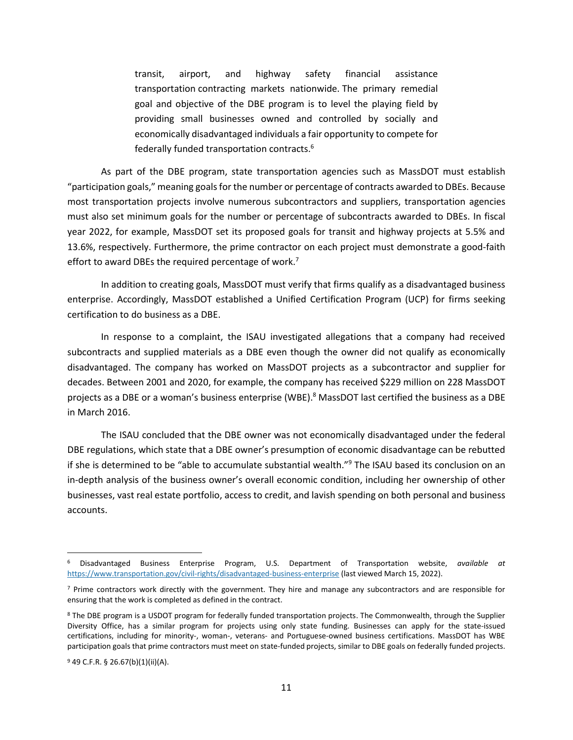transit, airport, and highway safety financial assistance transportation contracting markets nationwide. The primary remedial goal and objective of the DBE program is to level the playing field by providing small businesses owned and controlled by socially and economically disadvantaged individuals a fair opportunity to compete for federally funded transportation contracts.<sup>6</sup>

As part of the DBE program, state transportation agencies such as MassDOT must establish "participation goals," meaning goals for the number or percentage of contracts awarded to DBEs. Because most transportation projects involve numerous subcontractors and suppliers, transportation agencies must also set minimum goals for the number or percentage of subcontracts awarded to DBEs. In fiscal year 2022, for example, MassDOT set its proposed goals for transit and highway projects at 5.5% and 13.6%, respectively. Furthermore, the prime contractor on each project must demonstrate a good-faith effort to award DBEs the required percentage of work.<sup>7</sup>

In addition to creating goals, MassDOT must verify that firms qualify as a disadvantaged business enterprise. Accordingly, MassDOT established a Unified Certification Program (UCP) for firms seeking certification to do business as a DBE.

In response to a complaint, the ISAU investigated allegations that a company had received subcontracts and supplied materials as a DBE even though the owner did not qualify as economically disadvantaged. The company has worked on MassDOT projects as a subcontractor and supplier for decades. Between 2001 and 2020, for example, the company has received \$229 million on 228 MassDOT projects as a DBE or a woman's business enterprise (WBE).<sup>8</sup> MassDOT last certified the business as a DBE in March 2016.

The ISAU concluded that the DBE owner was not economically disadvantaged under the federal DBE regulations, which state that a DBE owner's presumption of economic disadvantage can be rebutted if she is determined to be "able to accumulate substantial wealth."<sup>9</sup> The ISAU based its conclusion on an in-depth analysis of the business owner's overall economic condition, including her ownership of other businesses, vast real estate portfolio, access to credit, and lavish spending on both personal and business accounts.

<sup>6</sup> Disadvantaged Business Enterprise Program, U.S. Department of Transportation website, *available at*  https://www.transportation.gov/civil-rights/disadvantaged-business-enterprise (last viewed March 15, 2022).

 $<sup>7</sup>$  Prime contractors work directly with the government. They hire and manage any subcontractors and are responsible for</sup> ensuring that the work is completed as defined in the contract.

<sup>&</sup>lt;sup>8</sup> The DBE program is a USDOT program for federally funded transportation projects. The Commonwealth, through the Supplier Diversity Office, has a similar program for projects using only state funding. Businesses can apply for the state-issued certifications, including for minority-, woman-, veterans- and Portuguese-owned business certifications. MassDOT has WBE participation goals that prime contractors must meet on state-funded projects, similar to DBE goals on federally funded projects.

<sup>9</sup> 49 C.F.R. § 26.67(b)(1)(ii)(A).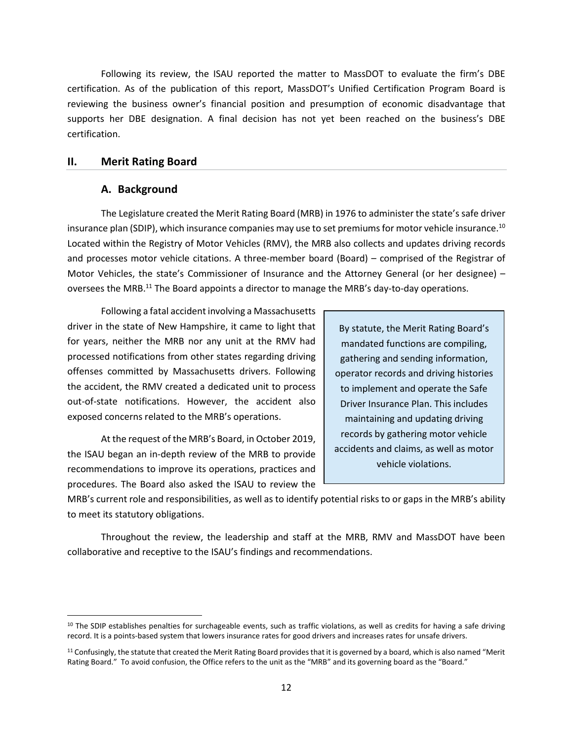Following its review, the ISAU reported the matter to MassDOT to evaluate the firm's DBE certification. As of the publication of this report, MassDOT's Unified Certification Program Board is reviewing the business owner's financial position and presumption of economic disadvantage that supports her DBE designation. A final decision has not yet been reached on the business's DBE certification.

#### <span id="page-13-0"></span>**II. Merit Rating Board**

#### **A. Background**

The Legislature created the Merit Rating Board (MRB) in 1976 to administer the state's safe driver insurance plan (SDIP), which insurance companies may use to set premiums for motor vehicle insurance.<sup>10</sup> Located within the Registry of Motor Vehicles (RMV), the MRB also collects and updates driving records and processes motor vehicle citations. A three-member board (Board) – comprised of the Registrar of Motor Vehicles, the state's Commissioner of Insurance and the Attorney General (or her designee) – oversees the MRB.<sup>11</sup> The Board appoints a director to manage the MRB's day-to-day operations.

Following a fatal accident involving a Massachusetts driver in the state of New Hampshire, it came to light that for years, neither the MRB nor any unit at the RMV had processed notifications from other states regarding driving offenses committed by Massachusetts drivers. Following the accident, the RMV created a dedicated unit to process out-of-state notifications. However, the accident also exposed concerns related to the MRB's operations.

At the request of the MRB's Board, in October 2019, the ISAU began an in-depth review of the MRB to provide recommendations to improve its operations, practices and procedures. The Board also asked the ISAU to review the

By statute, the Merit Rating Board's mandated functions are compiling, gathering and sending information, operator records and driving histories to implement and operate the Safe Driver Insurance Plan. This includes maintaining and updating driving records by gathering motor vehicle accidents and claims, as well as motor vehicle violations.

MRB's current role and responsibilities, as well as to identify potential risks to or gaps in the MRB's ability to meet its statutory obligations.

Throughout the review, the leadership and staff at the MRB, RMV and MassDOT have been collaborative and receptive to the ISAU's findings and recommendations.

<sup>&</sup>lt;sup>10</sup> The SDIP establishes penalties for surchageable events, such as traffic violations, as well as credits for having a safe driving record. It is a points-based system that lowers insurance rates for good drivers and increases rates for unsafe drivers.

<sup>11</sup> Confusingly, the statute that created the Merit Rating Board provides that it is governed by a board, which is also named "Merit Rating Board." To avoid confusion, the Office refers to the unit as the "MRB" and its governing board as the "Board."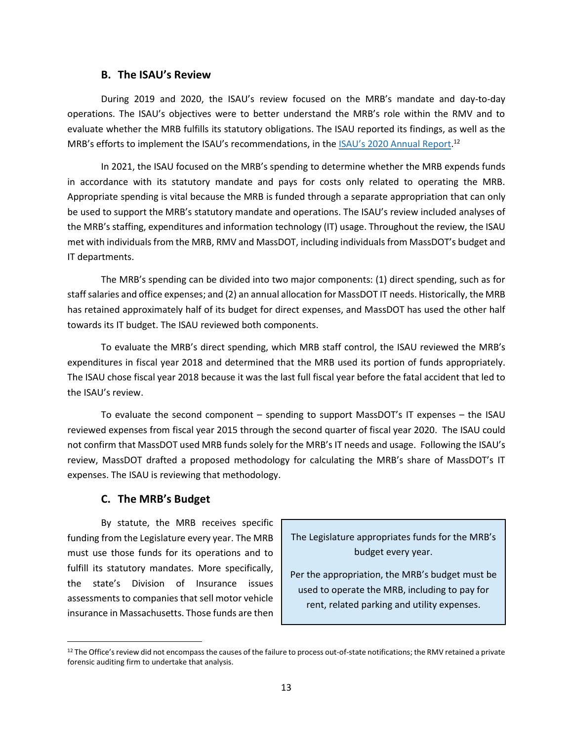#### **B. The ISAU's Review**

During 2019 and 2020, the ISAU's review focused on the MRB's mandate and day-to-day operations. The ISAU's objectives were to better understand the MRB's role within the RMV and to evaluate whether the MRB fulfills its statutory obligations. The ISAU reported its findings, as well as the MRB's efforts to implement the ISAU's recommendations, in the <u>[ISAU's 2020 Annual Report](https://www.mass.gov/doc/internal-special-audit-unit-2020-annual-report/download)</u>.<sup>12</sup>

In 2021, the ISAU focused on the MRB's spending to determine whether the MRB expends funds in accordance with its statutory mandate and pays for costs only related to operating the MRB. Appropriate spending is vital because the MRB is funded through a separate appropriation that can only be used to support the MRB's statutory mandate and operations. The ISAU's review included analyses of the MRB's staffing, expenditures and information technology (IT) usage. Throughout the review, the ISAU met with individuals from the MRB, RMV and MassDOT, including individuals from MassDOT's budget and IT departments.

The MRB's spending can be divided into two major components: (1) direct spending, such as for staff salaries and office expenses; and (2) an annual allocation for MassDOT IT needs. Historically, the MRB has retained approximately half of its budget for direct expenses, and MassDOT has used the other half towards its IT budget. The ISAU reviewed both components.

To evaluate the MRB's direct spending, which MRB staff control, the ISAU reviewed the MRB's expenditures in fiscal year 2018 and determined that the MRB used its portion of funds appropriately. The ISAU chose fiscal year 2018 because it was the last full fiscal year before the fatal accident that led to the ISAU's review.

To evaluate the second component – spending to support MassDOT's IT expenses – the ISAU reviewed expenses from fiscal year 2015 through the second quarter of fiscal year 2020. The ISAU could not confirm that MassDOT used MRB funds solely for the MRB's IT needs and usage. Following the ISAU's review, MassDOT drafted a proposed methodology for calculating the MRB's share of MassDOT's IT expenses. The ISAU is reviewing that methodology.

#### **C. The MRB's Budget**

By statute, the MRB receives specific funding from the Legislature every year. The MRB must use those funds for its operations and to fulfill its statutory mandates. More specifically, the state's Division of Insurance issues assessments to companies that sell motor vehicle insurance in Massachusetts. Those funds are then

The Legislature appropriates funds for the MRB's budget every year.

Per the appropriation, the MRB's budget must be used to operate the MRB, including to pay for rent, related parking and utility expenses.

<sup>&</sup>lt;sup>12</sup> The Office's review did not encompass the causes of the failure to process out-of-state notifications; the RMV retained a private forensic auditing firm to undertake that analysis.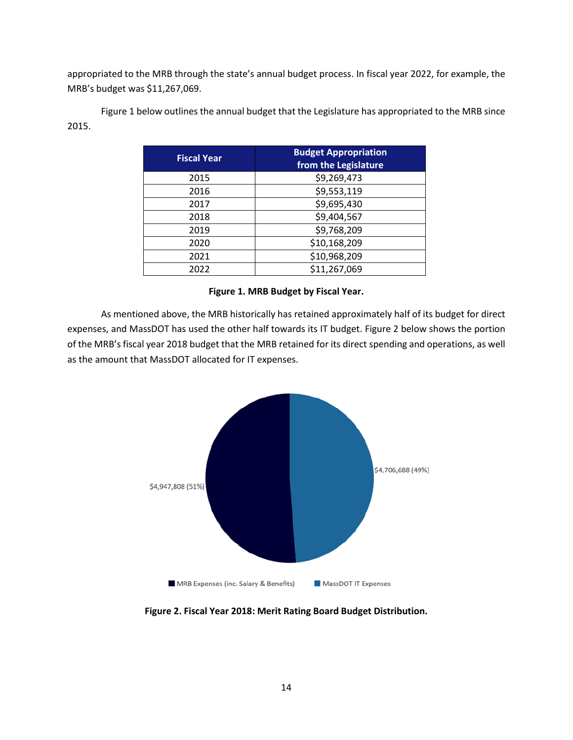appropriated to the MRB through the state's annual budget process. In fiscal year 2022, for example, the MRB's budget was \$11,267,069.

Figure 1 below outlines the annual budget that the Legislature has appropriated to the MRB since 2015.

| <b>Fiscal Year</b> | <b>Budget Appropriation</b><br>from the Legislature |
|--------------------|-----------------------------------------------------|
| 2015               | \$9,269,473                                         |
| 2016               | \$9,553,119                                         |
| 2017               | \$9,695,430                                         |
| 2018               | \$9,404,567                                         |
| 2019               | \$9,768,209                                         |
| 2020               | \$10,168,209                                        |
| 2021               | \$10,968,209                                        |
| 2022               | \$11,267,069                                        |

#### **Figure 1. MRB Budget by Fiscal Year.**

As mentioned above, the MRB historically has retained approximately half of its budget for direct expenses, and MassDOT has used the other half towards its IT budget. Figure 2 below shows the portion of the MRB's fiscal year 2018 budget that the MRB retained for its direct spending and operations, as well as the amount that MassDOT allocated for IT expenses.



**Figure 2. Fiscal Year 2018: Merit Rating Board Budget Distribution.**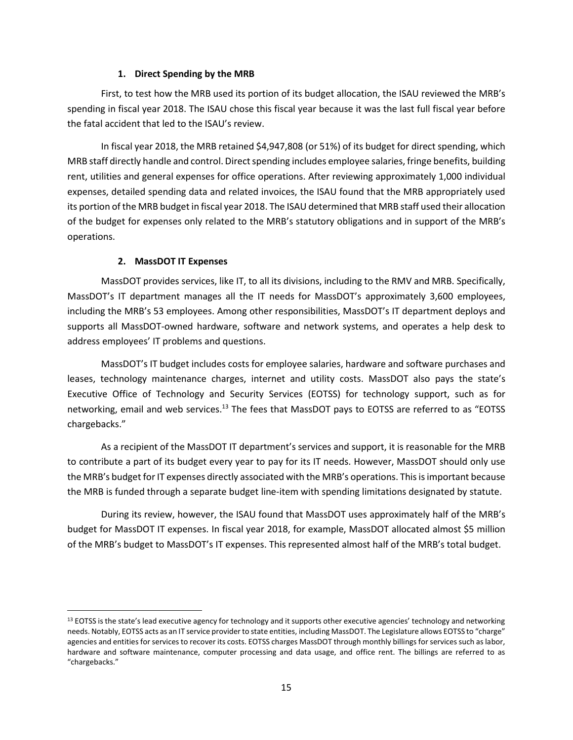#### **1. Direct Spending by the MRB**

First, to test how the MRB used its portion of its budget allocation, the ISAU reviewed the MRB's spending in fiscal year 2018. The ISAU chose this fiscal year because it was the last full fiscal year before the fatal accident that led to the ISAU's review.

In fiscal year 2018, the MRB retained \$4,947,808 (or 51%) of its budget for direct spending, which MRB staff directly handle and control. Direct spending includes employee salaries, fringe benefits, building rent, utilities and general expenses for office operations. After reviewing approximately 1,000 individual expenses, detailed spending data and related invoices, the ISAU found that the MRB appropriately used its portion of the MRB budget in fiscal year 2018. The ISAU determined that MRB staff used their allocation of the budget for expenses only related to the MRB's statutory obligations and in support of the MRB's operations.

#### **2. MassDOT IT Expenses**

MassDOT provides services, like IT, to all its divisions, including to the RMV and MRB. Specifically, MassDOT's IT department manages all the IT needs for MassDOT's approximately 3,600 employees, including the MRB's 53 employees. Among other responsibilities, MassDOT's IT department deploys and supports all MassDOT-owned hardware, software and network systems, and operates a help desk to address employees' IT problems and questions.

MassDOT's IT budget includes costs for employee salaries, hardware and software purchases and leases, technology maintenance charges, internet and utility costs. MassDOT also pays the state's Executive Office of Technology and Security Services (EOTSS) for technology support, such as for networking, email and web services.<sup>13</sup> The fees that MassDOT pays to EOTSS are referred to as "EOTSS chargebacks."

As a recipient of the MassDOT IT department's services and support, it is reasonable for the MRB to contribute a part of its budget every year to pay for its IT needs. However, MassDOT should only use the MRB's budget for IT expenses directly associated with the MRB's operations. This is important because the MRB is funded through a separate budget line-item with spending limitations designated by statute.

During its review, however, the ISAU found that MassDOT uses approximately half of the MRB's budget for MassDOT IT expenses. In fiscal year 2018, for example, MassDOT allocated almost \$5 million of the MRB's budget to MassDOT's IT expenses. This represented almost half of the MRB's total budget.

<sup>&</sup>lt;sup>13</sup> EOTSS is the state's lead executive agency for technology and it supports other executive agencies' technology and networking needs. Notably, EOTSS acts as an IT service provider to state entities, including MassDOT. The Legislature allows EOTSS to "charge" agencies and entities for services to recover its costs. EOTSS charges MassDOT through monthly billings for services such as labor, hardware and software maintenance, computer processing and data usage, and office rent. The billings are referred to as "chargebacks."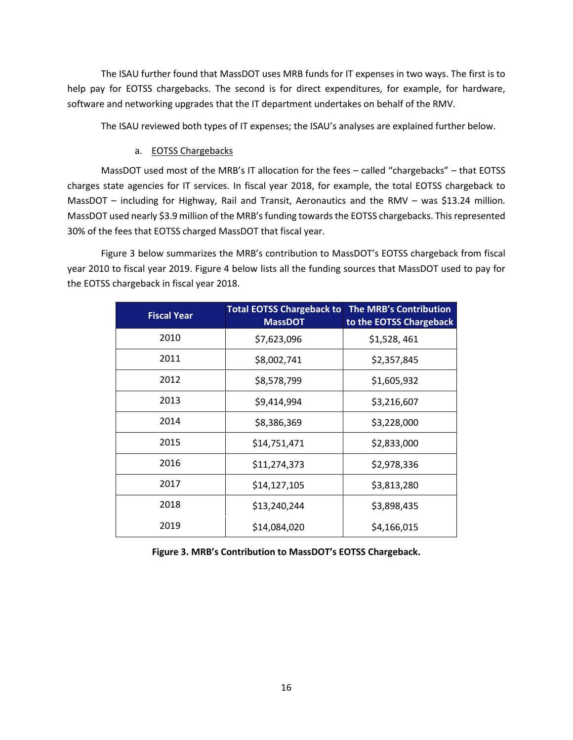The ISAU further found that MassDOT uses MRB funds for IT expenses in two ways. The first is to help pay for EOTSS chargebacks. The second is for direct expenditures, for example, for hardware, software and networking upgrades that the IT department undertakes on behalf of the RMV.

The ISAU reviewed both types of IT expenses; the ISAU's analyses are explained further below.

#### a. EOTSS Chargebacks

MassDOT used most of the MRB's IT allocation for the fees – called "chargebacks" – that EOTSS charges state agencies for IT services. In fiscal year 2018, for example, the total EOTSS chargeback to MassDOT – including for Highway, Rail and Transit, Aeronautics and the RMV – was \$13.24 million. MassDOT used nearly \$3.9 million of the MRB's funding towards the EOTSS chargebacks. This represented 30% of the fees that EOTSS charged MassDOT that fiscal year.

Figure 3 below summarizes the MRB's contribution to MassDOT's EOTSS chargeback from fiscal year 2010 to fiscal year 2019. Figure 4 below lists all the funding sources that MassDOT used to pay for the EOTSS chargeback in fiscal year 2018.

| <b>Fiscal Year</b> | <b>Total EOTSS Chargeback to</b><br><b>MassDOT</b> | <b>The MRB's Contribution</b><br>to the EOTSS Chargeback |
|--------------------|----------------------------------------------------|----------------------------------------------------------|
| 2010               | \$7,623,096                                        | \$1,528,461                                              |
| 2011               | \$8,002,741                                        | \$2,357,845                                              |
| 2012               | \$8,578,799                                        | \$1,605,932                                              |
| 2013               | \$9,414,994                                        | \$3,216,607                                              |
| 2014               | \$8,386,369                                        | \$3,228,000                                              |
| 2015               | \$14,751,471                                       | \$2,833,000                                              |
| 2016               | \$11,274,373                                       | \$2,978,336                                              |
| 2017               | \$14,127,105                                       | \$3,813,280                                              |
| 2018               | \$13,240,244                                       | \$3,898,435                                              |
| 2019               | \$14,084,020                                       | \$4,166,015                                              |

**Figure 3. MRB's Contribution to MassDOT's EOTSS Chargeback.**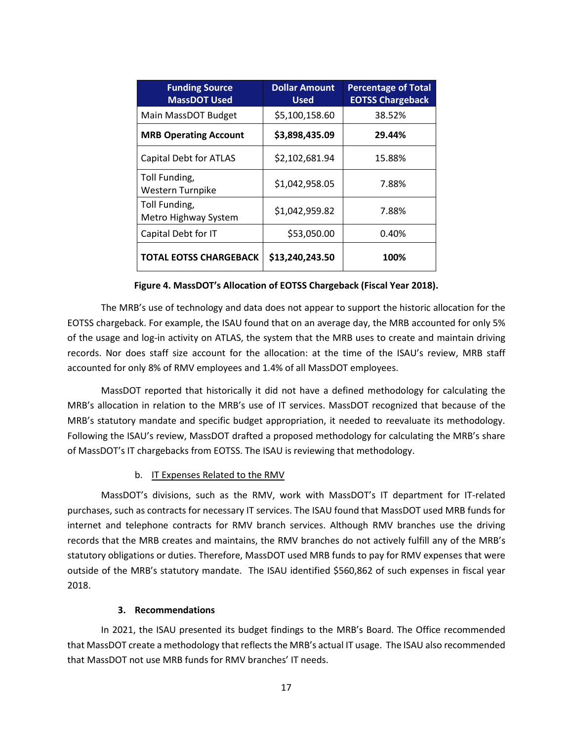| <b>Funding Source</b><br><b>MassDOT Used</b> | <b>Dollar Amount</b><br><b>Used</b> | <b>Percentage of Total</b><br><b>EOTSS Chargeback</b> |
|----------------------------------------------|-------------------------------------|-------------------------------------------------------|
| Main MassDOT Budget                          | \$5,100,158.60                      | 38.52%                                                |
| <b>MRB Operating Account</b>                 | \$3,898,435.09                      | 29.44%                                                |
| <b>Capital Debt for ATLAS</b>                | \$2,102,681.94                      | 15.88%                                                |
| Toll Funding,<br>Western Turnpike            | \$1,042,958.05                      | 7.88%                                                 |
| Toll Funding,<br>Metro Highway System        | \$1,042,959.82                      | 7.88%                                                 |
| Capital Debt for IT                          | \$53,050.00                         | 0.40%                                                 |
| <b>TOTAL EOTSS CHARGEBACK</b>                | \$13,240,243.50                     | 100%                                                  |

**Figure 4. MassDOT's Allocation of EOTSS Chargeback (Fiscal Year 2018).**

The MRB's use of technology and data does not appear to support the historic allocation for the EOTSS chargeback. For example, the ISAU found that on an average day, the MRB accounted for only 5% of the usage and log-in activity on ATLAS, the system that the MRB uses to create and maintain driving records. Nor does staff size account for the allocation: at the time of the ISAU's review, MRB staff accounted for only 8% of RMV employees and 1.4% of all MassDOT employees.

MassDOT reported that historically it did not have a defined methodology for calculating the MRB's allocation in relation to the MRB's use of IT services. MassDOT recognized that because of the MRB's statutory mandate and specific budget appropriation, it needed to reevaluate its methodology. Following the ISAU's review, MassDOT drafted a proposed methodology for calculating the MRB's share of MassDOT's IT chargebacks from EOTSS. The ISAU is reviewing that methodology.

#### b. IT Expenses Related to the RMV

MassDOT's divisions, such as the RMV, work with MassDOT's IT department for IT-related purchases, such as contracts for necessary IT services. The ISAU found that MassDOT used MRB funds for internet and telephone contracts for RMV branch services. Although RMV branches use the driving records that the MRB creates and maintains, the RMV branches do not actively fulfill any of the MRB's statutory obligations or duties. Therefore, MassDOT used MRB funds to pay for RMV expenses that were outside of the MRB's statutory mandate. The ISAU identified \$560,862 of such expenses in fiscal year 2018.

#### **3. Recommendations**

In 2021, the ISAU presented its budget findings to the MRB's Board. The Office recommended that MassDOT create a methodology that reflects the MRB's actual IT usage. The ISAU also recommended that MassDOT not use MRB funds for RMV branches' IT needs.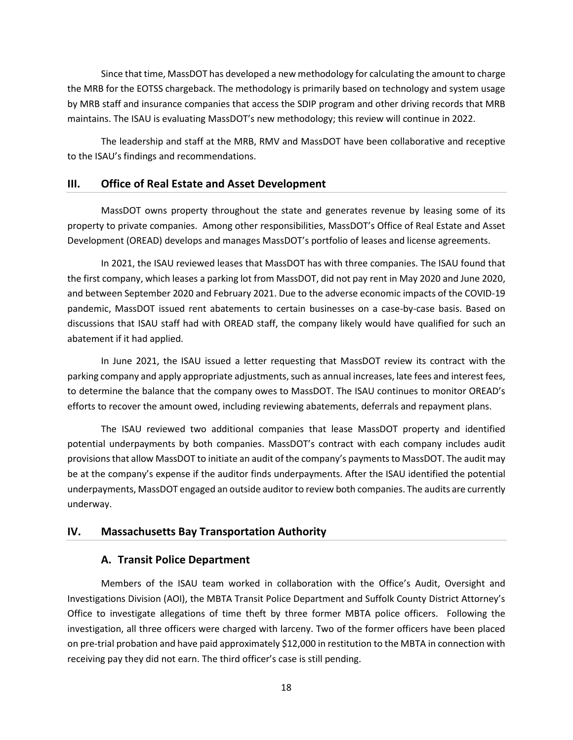Since that time, MassDOT has developed a new methodology for calculating the amount to charge the MRB for the EOTSS chargeback. The methodology is primarily based on technology and system usage by MRB staff and insurance companies that access the SDIP program and other driving records that MRB maintains. The ISAU is evaluating MassDOT's new methodology; this review will continue in 2022.

The leadership and staff at the MRB, RMV and MassDOT have been collaborative and receptive to the ISAU's findings and recommendations.

#### <span id="page-19-0"></span>**III. Office of Real Estate and Asset Development**

MassDOT owns property throughout the state and generates revenue by leasing some of its property to private companies. Among other responsibilities, MassDOT's Office of Real Estate and Asset Development (OREAD) develops and manages MassDOT's portfolio of leases and license agreements.

In 2021, the ISAU reviewed leases that MassDOT has with three companies. The ISAU found that the first company, which leases a parking lot from MassDOT, did not pay rent in May 2020 and June 2020, and between September 2020 and February 2021. Due to the adverse economic impacts of the COVID-19 pandemic, MassDOT issued rent abatements to certain businesses on a case-by-case basis. Based on discussions that ISAU staff had with OREAD staff, the company likely would have qualified for such an abatement if it had applied.

In June 2021, the ISAU issued a letter requesting that MassDOT review its contract with the parking company and apply appropriate adjustments, such as annual increases, late fees and interest fees, to determine the balance that the company owes to MassDOT. The ISAU continues to monitor OREAD's efforts to recover the amount owed, including reviewing abatements, deferrals and repayment plans.

The ISAU reviewed two additional companies that lease MassDOT property and identified potential underpayments by both companies. MassDOT's contract with each company includes audit provisionsthat allow MassDOT to initiate an audit of the company's payments to MassDOT. The audit may be at the company's expense if the auditor finds underpayments. After the ISAU identified the potential underpayments, MassDOT engaged an outside auditor to review both companies. The audits are currently underway.

#### <span id="page-19-2"></span><span id="page-19-1"></span>**IV. Massachusetts Bay Transportation Authority**

#### **A. Transit Police Department**

Members of the ISAU team worked in collaboration with the Office's Audit, Oversight and Investigations Division (AOI), the MBTA Transit Police Department and Suffolk County District Attorney's Office to investigate allegations of time theft by three former MBTA police officers. Following the investigation, all three officers were charged with larceny. Two of the former officers have been placed on pre-trial probation and have paid approximately \$12,000 in restitution to the MBTA in connection with receiving pay they did not earn. The third officer's case is still pending.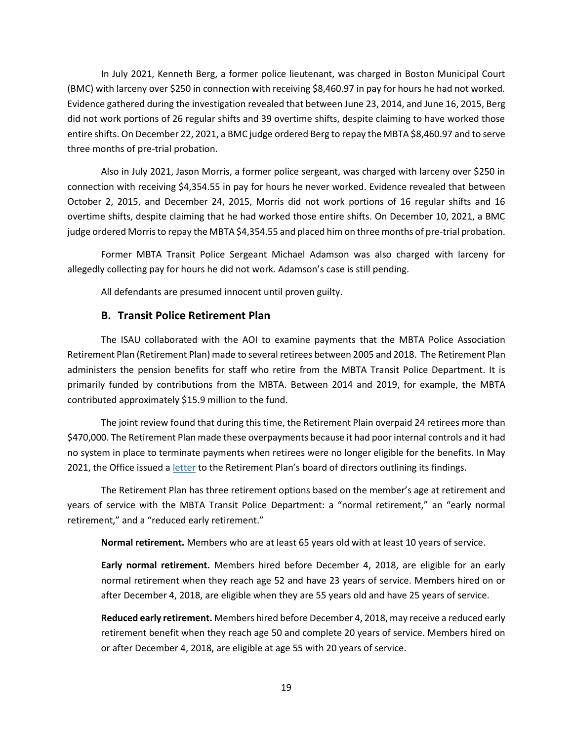In July 2021, Kenneth Berg, a former police lieutenant, was charged in Boston Municipal Court (BMC) with larceny over \$250 in connection with receiving \$8,460.97 in pay for hours he had not worked. Evidence gathered during the investigation revealed that between June 23, 2014, and June 16, 2015, Berg did not work portions of 26 regular shifts and 39 overtime shifts, despite claiming to have worked those entire shifts. On December 22, 2021, a BMC judge ordered Berg to repay the MBTA \$8,460.97 and to serve three months of pre-trial probation.

Also in July 2021, Jason Morris, a former police sergeant, was charged with larceny over \$250 in connection with receiving \$4,354.55 in pay for hours he never worked. Evidence revealed that between October 2, 2015, and December 24, 2015, Morris did not work portions of 16 regular shifts and 16 overtime shifts, despite claiming that he had worked those entire shifts. On December 10, 2021, a BMC judge ordered Morris to repay the MBTA \$4,354.55 and placed him on three months of pre-trial probation.

Former MBTA Transit Police Sergeant Michael Adamson was also charged with larceny for allegedly collecting pay for hours he did not work. Adamson's case is still pending.

All defendants are presumed innocent until proven guilty.

#### **B. Transit Police Retirement Plan**

<span id="page-20-0"></span>The ISAU collaborated with the AOI to examine payments that the MBTA Police Association Retirement Plan (Retirement Plan) made to several retirees between 2005 and 2018. The Retirement Plan administers the pension benefits for staff who retire from the MBTA Transit Police Department. It is primarily funded by contributions from the MBTA. Between 2014 and 2019, for example, the MBTA contributed approximately \$15.9 million to the fund.

The joint review found that during this time, the Retirement Plain overpaid 24 retirees more than \$470,000. The Retirement Plan made these overpayments because it had poor internal controls and it had no system in place to terminate payments when retirees were no longer eligible for the benefits. In May 2021, the Office issued [a letter](https://www.mass.gov/doc/oig-letter-to-mbta-police-association-retirement-plan-regarding-overpayments-may-2021/download) to the Retirement Plan's board of directors outlining its findings.

The Retirement Plan has three retirement options based on the member's age at retirement and years of service with the MBTA Transit Police Department: a "normal retirement," an "early normal retirement," and a "reduced early retirement."

**Normal retirement.** Members who are at least 65 years old with at least 10 years of service.

**Early normal retirement.** Members hired before December 4, 2018, are eligible for an early normal retirement when they reach age 52 and have 23 years of service. Members hired on or after December 4, 2018, are eligible when they are 55 years old and have 25 years of service.

**Reduced early retirement.** Members hired before December 4, 2018, may receive a reduced early retirement benefit when they reach age 50 and complete 20 years of service. Members hired on or after December 4, 2018, are eligible at age 55 with 20 years of service.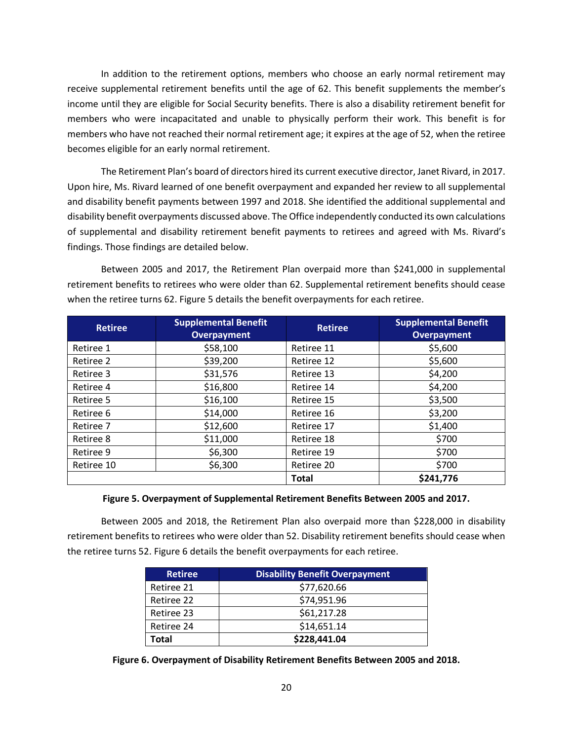In addition to the retirement options, members who choose an early normal retirement may receive supplemental retirement benefits until the age of 62. This benefit supplements the member's income until they are eligible for Social Security benefits. There is also a disability retirement benefit for members who were incapacitated and unable to physically perform their work. This benefit is for members who have not reached their normal retirement age; it expires at the age of 52, when the retiree becomes eligible for an early normal retirement.

The Retirement Plan's board of directors hired its current executive director, Janet Rivard, in 2017. Upon hire, Ms. Rivard learned of one benefit overpayment and expanded her review to all supplemental and disability benefit payments between 1997 and 2018. She identified the additional supplemental and disability benefit overpayments discussed above. The Office independently conducted its own calculations of supplemental and disability retirement benefit payments to retirees and agreed with Ms. Rivard's findings. Those findings are detailed below.

Between 2005 and 2017, the Retirement Plan overpaid more than \$241,000 in supplemental retirement benefits to retirees who were older than 62. Supplemental retirement benefits should cease when the retiree turns 62. Figure 5 details the benefit overpayments for each retiree.

| <b>Retiree</b>        | <b>Supplemental Benefit</b><br><b>Overpayment</b> | <b>Retiree</b> | <b>Supplemental Benefit</b><br>Overpayment |
|-----------------------|---------------------------------------------------|----------------|--------------------------------------------|
| Retiree 1             | \$58,100                                          | Retiree 11     | \$5,600                                    |
| \$39,200<br>Retiree 2 |                                                   | Retiree 12     | \$5,600                                    |
| \$31,576<br>Retiree 3 |                                                   | Retiree 13     | \$4,200                                    |
| Retiree 4             | \$16,800                                          | Retiree 14     | \$4,200                                    |
| Retiree 5             | \$16,100                                          | Retiree 15     | \$3,500                                    |
| Retiree 6             | \$14,000                                          | Retiree 16     | \$3,200                                    |
| Retiree 7             | \$12,600                                          | Retiree 17     | \$1,400                                    |
| Retiree 8             | \$11,000                                          | Retiree 18     | \$700                                      |
| Retiree 9             | \$6,300                                           | Retiree 19     | \$700                                      |
| Retiree 10            | \$6,300                                           | Retiree 20     | \$700                                      |
|                       |                                                   | <b>Total</b>   | \$241,776                                  |

#### **Figure 5. Overpayment of Supplemental Retirement Benefits Between 2005 and 2017.**

Between 2005 and 2018, the Retirement Plan also overpaid more than \$228,000 in disability retirement benefits to retirees who were older than 52. Disability retirement benefits should cease when the retiree turns 52. Figure 6 details the benefit overpayments for each retiree.

| <b>Retiree</b> | <b>Disability Benefit Overpayment</b> |
|----------------|---------------------------------------|
| Retiree 21     | \$77,620.66                           |
| Retiree 22     | \$74,951.96                           |
| Retiree 23     | \$61,217.28                           |
| Retiree 24     | \$14,651.14                           |
| Total          | \$228,441.04                          |

**Figure 6. Overpayment of Disability Retirement Benefits Between 2005 and 2018.**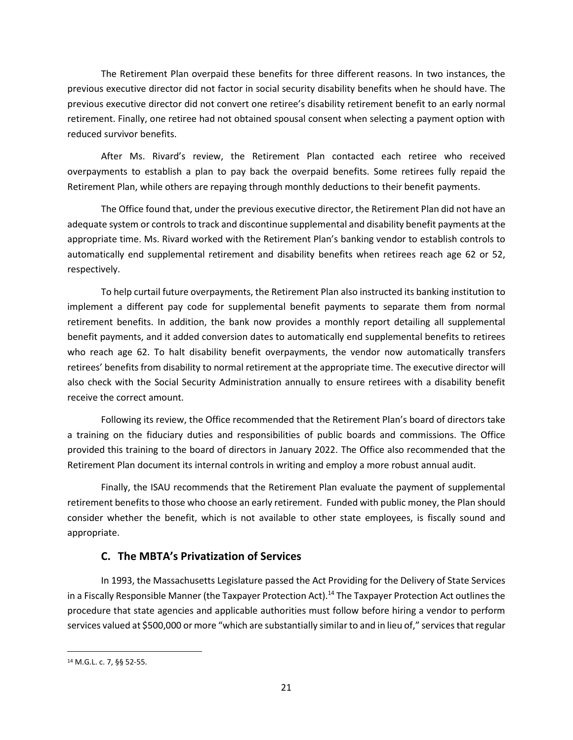The Retirement Plan overpaid these benefits for three different reasons. In two instances, the previous executive director did not factor in social security disability benefits when he should have. The previous executive director did not convert one retiree's disability retirement benefit to an early normal retirement. Finally, one retiree had not obtained spousal consent when selecting a payment option with reduced survivor benefits.

After Ms. Rivard's review, the Retirement Plan contacted each retiree who received overpayments to establish a plan to pay back the overpaid benefits. Some retirees fully repaid the Retirement Plan, while others are repaying through monthly deductions to their benefit payments.

The Office found that, under the previous executive director, the Retirement Plan did not have an adequate system or controls to track and discontinue supplemental and disability benefit payments at the appropriate time. Ms. Rivard worked with the Retirement Plan's banking vendor to establish controls to automatically end supplemental retirement and disability benefits when retirees reach age 62 or 52, respectively.

To help curtail future overpayments, the Retirement Plan also instructed its banking institution to implement a different pay code for supplemental benefit payments to separate them from normal retirement benefits. In addition, the bank now provides a monthly report detailing all supplemental benefit payments, and it added conversion dates to automatically end supplemental benefits to retirees who reach age 62. To halt disability benefit overpayments, the vendor now automatically transfers retirees' benefits from disability to normal retirement at the appropriate time. The executive director will also check with the Social Security Administration annually to ensure retirees with a disability benefit receive the correct amount.

Following its review, the Office recommended that the Retirement Plan's board of directors take a training on the fiduciary duties and responsibilities of public boards and commissions. The Office provided this training to the board of directors in January 2022. The Office also recommended that the Retirement Plan document its internal controls in writing and employ a more robust annual audit.

Finally, the ISAU recommends that the Retirement Plan evaluate the payment of supplemental retirement benefits to those who choose an early retirement. Funded with public money, the Plan should consider whether the benefit, which is not available to other state employees, is fiscally sound and appropriate.

#### **C. The MBTA's Privatization of Services**

<span id="page-22-0"></span>In 1993, the Massachusetts Legislature passed the Act Providing for the Delivery of State Services in a Fiscally Responsible Manner (the Taxpayer Protection Act).<sup>14</sup> The Taxpayer Protection Act outlines the procedure that state agencies and applicable authorities must follow before hiring a vendor to perform services valued at \$500,000 or more "which are substantially similar to and in lieu of," services that regular

<sup>14</sup> M.G.L. c. 7, §§ 52-55.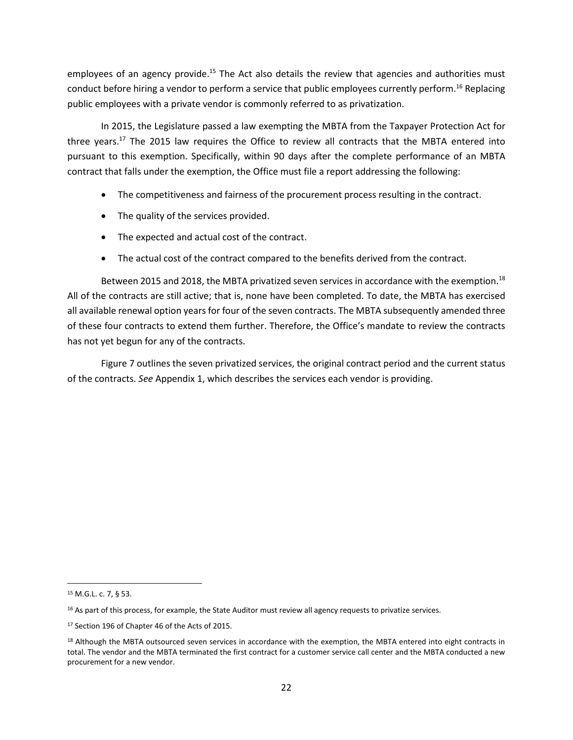employees of an agency provide.<sup>15</sup> The Act also details the review that agencies and authorities must conduct before hiring a vendor to perform a service that public employees currently perform.<sup>16</sup> Replacing public employees with a private vendor is commonly referred to as privatization.

In 2015, the Legislature passed a law exempting the MBTA from the Taxpayer Protection Act for three years.<sup>17</sup> The 2015 law requires the Office to review all contracts that the MBTA entered into pursuant to this exemption. Specifically, within 90 days after the complete performance of an MBTA contract that falls under the exemption, the Office must file a report addressing the following:

- The competitiveness and fairness of the procurement process resulting in the contract.
- The quality of the services provided.
- The expected and actual cost of the contract.
- The actual cost of the contract compared to the benefits derived from the contract.

Between 2015 and 2018, the MBTA privatized seven services in accordance with the exemption.<sup>18</sup> All of the contracts are still active; that is, none have been completed. To date, the MBTA has exercised all available renewal option years for four of the seven contracts. The MBTA subsequently amended three of these four contracts to extend them further. Therefore, the Office's mandate to review the contracts has not yet begun for any of the contracts.

Figure 7 outlines the seven privatized services, the original contract period and the current status of the contracts. *See* Appendix 1, which describes the services each vendor is providing.

<sup>15</sup> M.G.L. c. 7, § 53.

<sup>&</sup>lt;sup>16</sup> As part of this process, for example, the State Auditor must review all agency requests to privatize services.

<sup>17</sup> Section 196 of Chapter 46 of the Acts of 2015.

<sup>&</sup>lt;sup>18</sup> Although the MBTA outsourced seven services in accordance with the exemption, the MBTA entered into eight contracts in total. The vendor and the MBTA terminated the first contract for a customer service call center and the MBTA conducted a new procurement for a new vendor.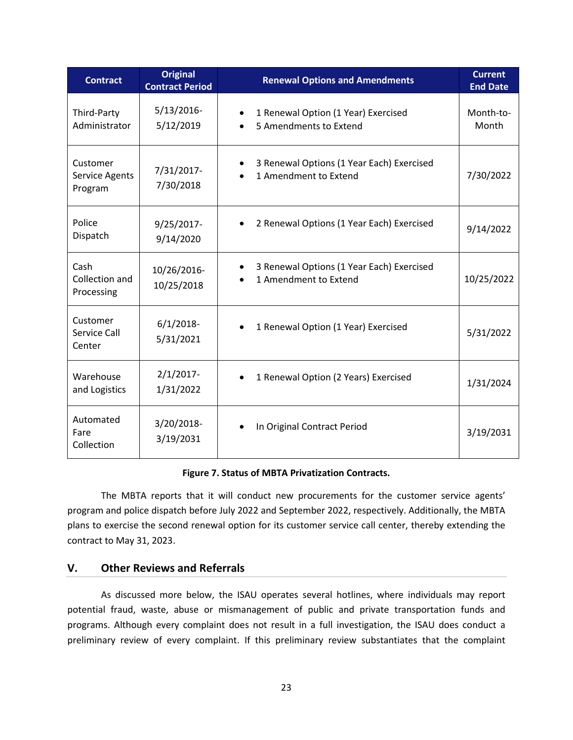| <b>Contract</b>                              | <b>Original</b><br><b>Contract Period</b> | <b>Renewal Options and Amendments</b>                                           | <b>Current</b><br><b>End Date</b> |
|----------------------------------------------|-------------------------------------------|---------------------------------------------------------------------------------|-----------------------------------|
| Third-Party<br>Administrator                 | $5/13/2016$ -<br>5/12/2019                | 1 Renewal Option (1 Year) Exercised<br>5 Amendments to Extend                   | Month-to-<br>Month                |
| Customer<br><b>Service Agents</b><br>Program | 7/31/2017-<br>7/30/2018                   | 3 Renewal Options (1 Year Each) Exercised<br>1 Amendment to Extend              | 7/30/2022                         |
| Police<br>Dispatch                           | 9/25/2017-<br>9/14/2020                   | 2 Renewal Options (1 Year Each) Exercised                                       | 9/14/2022                         |
| Cash<br>Collection and<br>Processing         | 10/26/2016-<br>10/25/2018                 | 3 Renewal Options (1 Year Each) Exercised<br>$\bullet$<br>1 Amendment to Extend | 10/25/2022                        |
| Customer<br>Service Call<br>Center           | $6/1/2018$ -<br>5/31/2021                 | 1 Renewal Option (1 Year) Exercised                                             | 5/31/2022                         |
| Warehouse<br>and Logistics                   | $2/1/2017$ -<br>1/31/2022                 | 1 Renewal Option (2 Years) Exercised                                            | 1/31/2024                         |
| Automated<br>Fare<br>Collection              | 3/20/2018-<br>3/19/2031                   | In Original Contract Period                                                     | 3/19/2031                         |

#### **Figure 7. Status of MBTA Privatization Contracts.**

The MBTA reports that it will conduct new procurements for the customer service agents' program and police dispatch before July 2022 and September 2022, respectively. Additionally, the MBTA plans to exercise the second renewal option for its customer service call center, thereby extending the contract to May 31, 2023.

#### <span id="page-24-0"></span>**V. Other Reviews and Referrals**

As discussed more below, the ISAU operates several hotlines, where individuals may report potential fraud, waste, abuse or mismanagement of public and private transportation funds and programs. Although every complaint does not result in a full investigation, the ISAU does conduct a preliminary review of every complaint. If this preliminary review substantiates that the complaint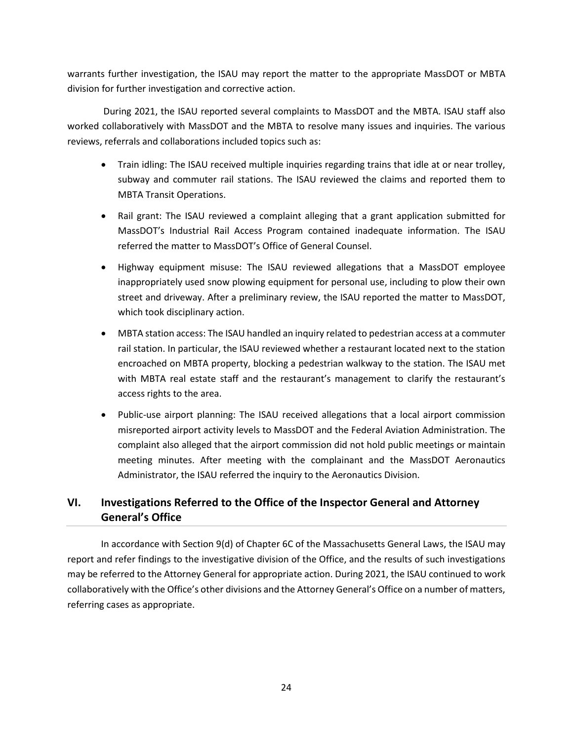warrants further investigation, the ISAU may report the matter to the appropriate MassDOT or MBTA division for further investigation and corrective action.

During 2021, the ISAU reported several complaints to MassDOT and the MBTA. ISAU staff also worked collaboratively with MassDOT and the MBTA to resolve many issues and inquiries. The various reviews, referrals and collaborations included topics such as:

- Train idling: The ISAU received multiple inquiries regarding trains that idle at or near trolley, subway and commuter rail stations. The ISAU reviewed the claims and reported them to MBTA Transit Operations.
- Rail grant: The ISAU reviewed a complaint alleging that a grant application submitted for MassDOT's Industrial Rail Access Program contained inadequate information. The ISAU referred the matter to MassDOT's Office of General Counsel.
- Highway equipment misuse: The ISAU reviewed allegations that a MassDOT employee inappropriately used snow plowing equipment for personal use, including to plow their own street and driveway. After a preliminary review, the ISAU reported the matter to MassDOT, which took disciplinary action.
- MBTA station access: The ISAU handled an inquiry related to pedestrian access at a commuter rail station. In particular, the ISAU reviewed whether a restaurant located next to the station encroached on MBTA property, blocking a pedestrian walkway to the station. The ISAU met with MBTA real estate staff and the restaurant's management to clarify the restaurant's access rights to the area.
- Public-use airport planning: The ISAU received allegations that a local airport commission misreported airport activity levels to MassDOT and the Federal Aviation Administration. The complaint also alleged that the airport commission did not hold public meetings or maintain meeting minutes. After meeting with the complainant and the MassDOT Aeronautics Administrator, the ISAU referred the inquiry to the Aeronautics Division.

### <span id="page-25-0"></span>**VI. Investigations Referred to the Office of the Inspector General and Attorney General's Office**

In accordance with Section 9(d) of Chapter 6C of the Massachusetts General Laws, the ISAU may report and refer findings to the investigative division of the Office, and the results of such investigations may be referred to the Attorney General for appropriate action. During 2021, the ISAU continued to work collaboratively with the Office's other divisions and the Attorney General's Office on a number of matters, referring cases as appropriate.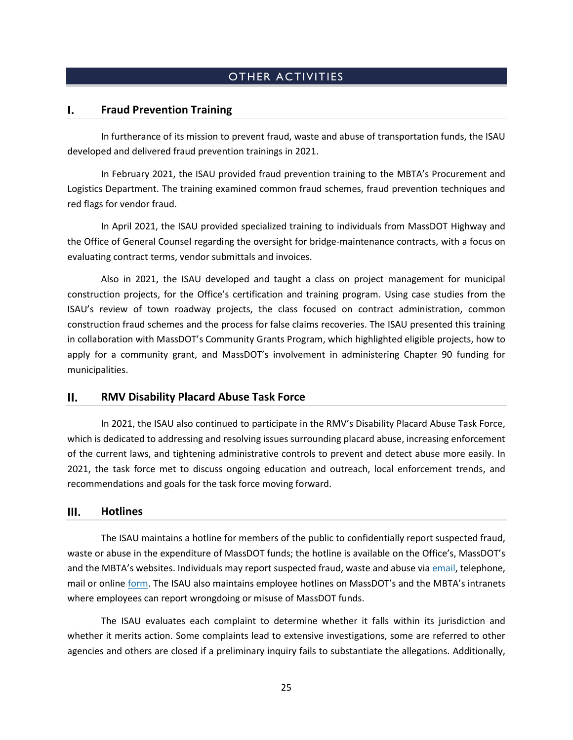### **OTHER ACTIVITIES**

#### <span id="page-26-1"></span><span id="page-26-0"></span>**Fraud Prevention Training**  I.

In furtherance of its mission to prevent fraud, waste and abuse of transportation funds, the ISAU developed and delivered fraud prevention trainings in 2021.

In February 2021, the ISAU provided fraud prevention training to the MBTA's Procurement and Logistics Department. The training examined common fraud schemes, fraud prevention techniques and red flags for vendor fraud.

In April 2021, the ISAU provided specialized training to individuals from MassDOT Highway and the Office of General Counsel regarding the oversight for bridge-maintenance contracts, with a focus on evaluating contract terms, vendor submittals and invoices.

Also in 2021, the ISAU developed and taught a class on project management for municipal construction projects, for the Office's certification and training program. Using case studies from the ISAU's review of town roadway projects, the class focused on contract administration, common construction fraud schemes and the process for false claims recoveries. The ISAU presented this training in collaboration with MassDOT's Community Grants Program, which highlighted eligible projects, how to apply for a community grant, and MassDOT's involvement in administering Chapter 90 funding for municipalities.

#### <span id="page-26-2"></span> $II.$ **RMV Disability Placard Abuse Task Force**

In 2021, the ISAU also continued to participate in the RMV's Disability Placard Abuse Task Force, which is dedicated to addressing and resolving issues surrounding placard abuse, increasing enforcement of the current laws, and tightening administrative controls to prevent and detect abuse more easily. In 2021, the task force met to discuss ongoing education and outreach, local enforcement trends, and recommendations and goals for the task force moving forward.

#### <span id="page-26-3"></span>**Hotlines** Ш.

The ISAU maintains a hotline for members of the public to confidentially report suspected fraud, waste or abuse in the expenditure of MassDOT funds; the hotline is available on the Office's, MassDOT's and the MBTA's websites. Individuals may report suspected fraud, waste and abuse via [email,](mailto:massdotfraudhotline@mass.gov) telephone, mail or online [form.](https://www.mass.gov/forms/report-suspected-fraud-waste-or-abuse-of-public-transportation-or-transit-funds-or-property) The ISAU also maintains employee hotlines on MassDOT's and the MBTA's intranets where employees can report wrongdoing or misuse of MassDOT funds.

The ISAU evaluates each complaint to determine whether it falls within its jurisdiction and whether it merits action. Some complaints lead to extensive investigations, some are referred to other agencies and others are closed if a preliminary inquiry fails to substantiate the allegations. Additionally,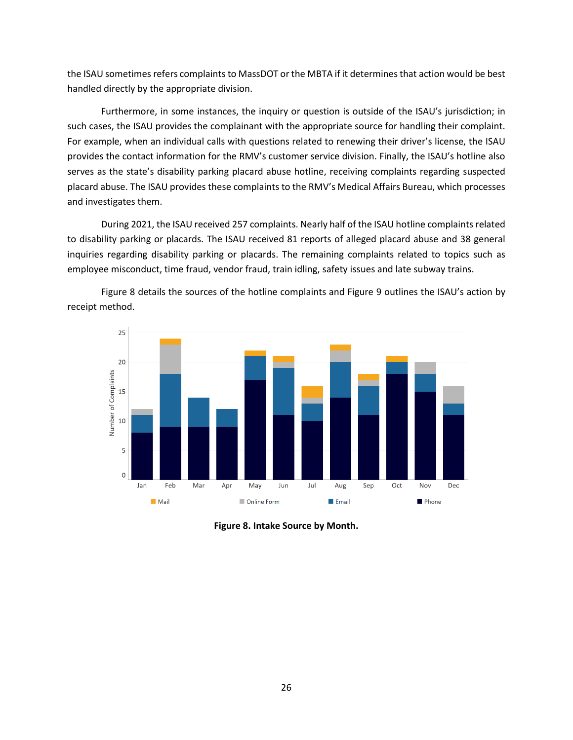the ISAU sometimes refers complaints to MassDOT or the MBTA if it determines that action would be best handled directly by the appropriate division.

Furthermore, in some instances, the inquiry or question is outside of the ISAU's jurisdiction; in such cases, the ISAU provides the complainant with the appropriate source for handling their complaint. For example, when an individual calls with questions related to renewing their driver's license, the ISAU provides the contact information for the RMV's customer service division. Finally, the ISAU's hotline also serves as the state's disability parking placard abuse hotline, receiving complaints regarding suspected placard abuse. The ISAU provides these complaints to the RMV's Medical Affairs Bureau, which processes and investigates them.

During 2021, the ISAU received 257 complaints. Nearly half of the ISAU hotline complaints related to disability parking or placards. The ISAU received 81 reports of alleged placard abuse and 38 general inquiries regarding disability parking or placards. The remaining complaints related to topics such as employee misconduct, time fraud, vendor fraud, train idling, safety issues and late subway trains.





**Figure 8. Intake Source by Month.**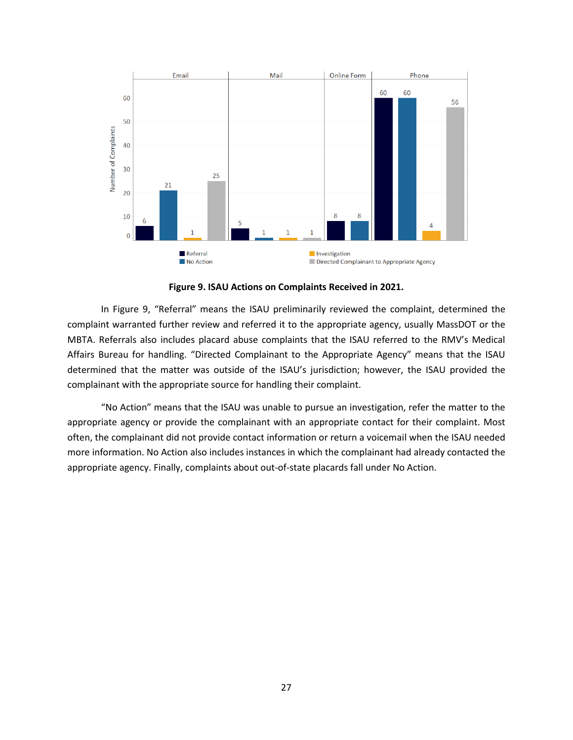

**Figure 9. ISAU Actions on Complaints Received in 2021.**

In Figure 9, "Referral" means the ISAU preliminarily reviewed the complaint, determined the complaint warranted further review and referred it to the appropriate agency, usually MassDOT or the MBTA. Referrals also includes placard abuse complaints that the ISAU referred to the RMV's Medical Affairs Bureau for handling. "Directed Complainant to the Appropriate Agency" means that the ISAU determined that the matter was outside of the ISAU's jurisdiction; however, the ISAU provided the complainant with the appropriate source for handling their complaint.

"No Action" means that the ISAU was unable to pursue an investigation, refer the matter to the appropriate agency or provide the complainant with an appropriate contact for their complaint. Most often, the complainant did not provide contact information or return a voicemail when the ISAU needed more information. No Action also includes instances in which the complainant had already contacted the appropriate agency. Finally, complaints about out-of-state placards fall under No Action.